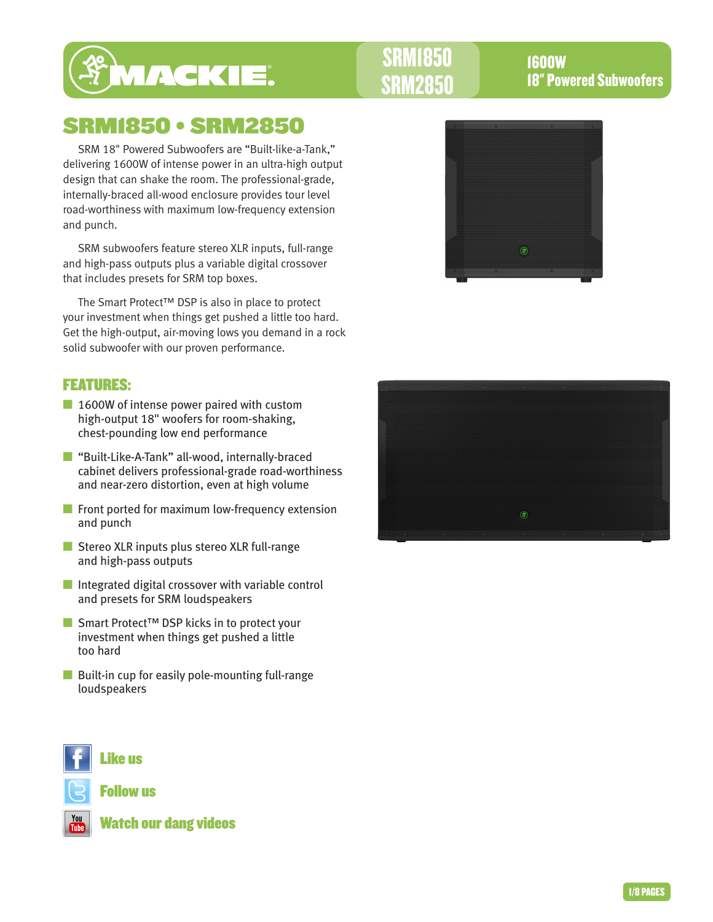

# SRM1850 • SRM2850

SRM 18" Powered Subwoofers are "Built-like-a-Tank," delivering 1600W of intense power in an ultra-high output design that can shake the room. The professional-grade, internally-braced all-wood enclosure provides tour level road-worthiness with maximum low-frequency extension and punch.

SRM subwoofers feature stereo XLR inputs, full-range and high-pass outputs plus a variable digital crossover that includes presets for SRM top boxes.

The Smart Protect™ DSP is also in place to protect your investment when things get pushed a little too hard. Get the high-output, air-moving lows you demand in a rock solid subwoofer with our proven performance.

### FEATURES:

- 1600W of intense power paired with custom high-output 18" woofers for room-shaking, chest-pounding low end performance
- "Built-Like-A-Tank" all-wood, internally-braced cabinet delivers professional-grade road-worthiness and near-zero distortion, even at high volume
- Front ported for maximum low-frequency extension and punch
- Stereo XLR inputs plus stereo XLR full-range and high-pass outputs
- Integrated digital crossover with variable control and presets for SRM loudspeakers
- Smart Protect<sup>™</sup> DSP kicks in to protect your investment when things get pushed a little too hard
- Built-in cup for easily pole-mounting full-range loudspeakers







Follow us



Watch our dang videos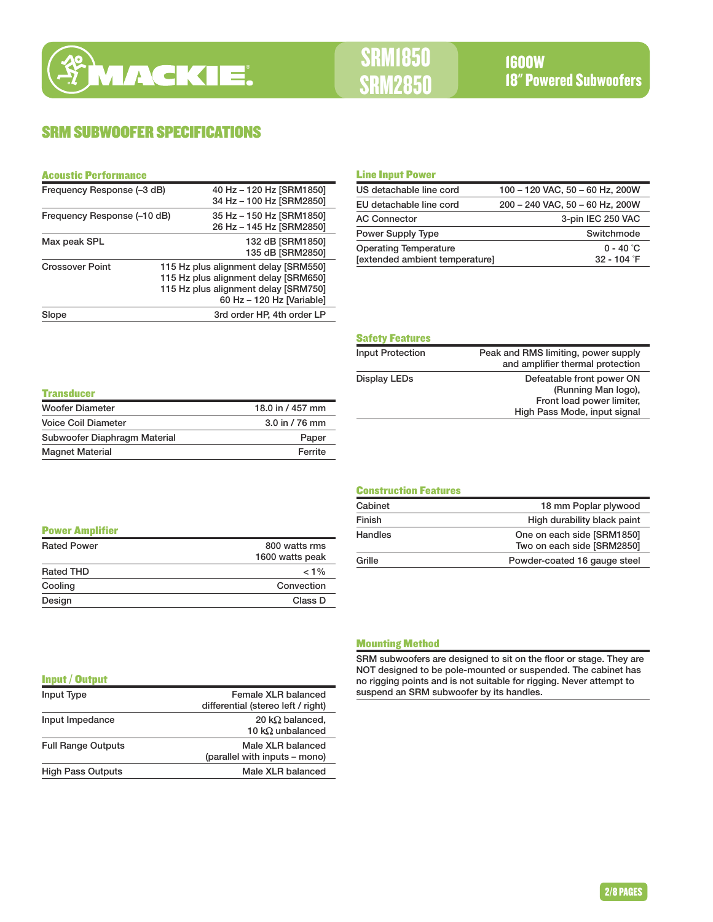# SRM SUBWOOFER SPECIFICATIONS

#### Acoustic Performance

| Frequency Response (-3 dB)  | 40 Hz - 120 Hz [SRM1850]                                                                                                                          |
|-----------------------------|---------------------------------------------------------------------------------------------------------------------------------------------------|
|                             | 34 Hz - 100 Hz [SRM2850]                                                                                                                          |
| Frequency Response (-10 dB) | 35 Hz - 150 Hz [SRM1850]                                                                                                                          |
|                             | 26 Hz - 145 Hz [SRM2850]                                                                                                                          |
| Max peak SPL                | 132 dB [SRM1850]<br>135 dB [SRM2850]                                                                                                              |
| <b>Crossover Point</b>      | 115 Hz plus alignment delay [SRM550]<br>115 Hz plus alignment delay [SRM650]<br>115 Hz plus alignment delay [SRM750]<br>60 Hz - 120 Hz [Variable] |
| Slope                       | 3rd order HP, 4th order LP                                                                                                                        |

#### Line Input Power

| US detachable line cord        | 100 - 120 VAC, 50 - 60 Hz, 200W |
|--------------------------------|---------------------------------|
| EU detachable line cord        | 200 - 240 VAC, 50 - 60 Hz, 200W |
| <b>AC Connector</b>            | 3-pin IEC 250 VAC               |
| Power Supply Type              | Switchmode                      |
| <b>Operating Temperature</b>   | $0 - 40$ °C                     |
| [extended ambient temperature] | 32 - 104 F                      |

# Safety Features

÷

| <b>Input Protection</b> | Peak and RMS limiting, power supply<br>and amplifier thermal protection                                       |
|-------------------------|---------------------------------------------------------------------------------------------------------------|
| Display LEDs            | Defeatable front power ON<br>(Running Man logo),<br>Front load power limiter,<br>High Pass Mode, input signal |

| <b>Transducer</b>            |                   |
|------------------------------|-------------------|
| <b>Woofer Diameter</b>       | 18.0 in / 457 mm  |
| Voice Coil Diameter          | $3.0$ in $/76$ mm |
| Subwoofer Diaphragm Material | Paper             |
| <b>Magnet Material</b>       | Ferrite           |

#### Construction Features

| Cabinet        | 18 mm Poplar plywood                                     |
|----------------|----------------------------------------------------------|
| Finish         | High durability black paint                              |
| <b>Handles</b> | One on each side [SRM1850]<br>Two on each side [SRM2850] |
| Grille         | Powder-coated 16 gauge steel                             |
|                |                                                          |

#### Power Amplifier

| <b>Rated Power</b> | 800 watts rms<br>1600 watts peak |
|--------------------|----------------------------------|
| Rated THD          | $< 1\%$                          |
| Cooling            | Convection                       |
| Design             | Class D                          |

#### Mounting Method

SRM subwoofers are designed to sit on the floor or stage. They are NOT designed to be pole-mounted or suspended. The cabinet has no rigging points and is not suitable for rigging. Never attempt to suspend an SRM subwoofer by its handles.

#### Input / Output

| Input Type                | Female XLR balanced                                 |
|---------------------------|-----------------------------------------------------|
|                           | differential (stereo left / right)                  |
| Input Impedance           | 20 k $\Omega$ balanced,<br>10 k $\Omega$ unbalanced |
| <b>Full Range Outputs</b> | Male XLR balanced<br>(parallel with inputs – mono)  |
| <b>High Pass Outputs</b>  | Male XLR balanced                                   |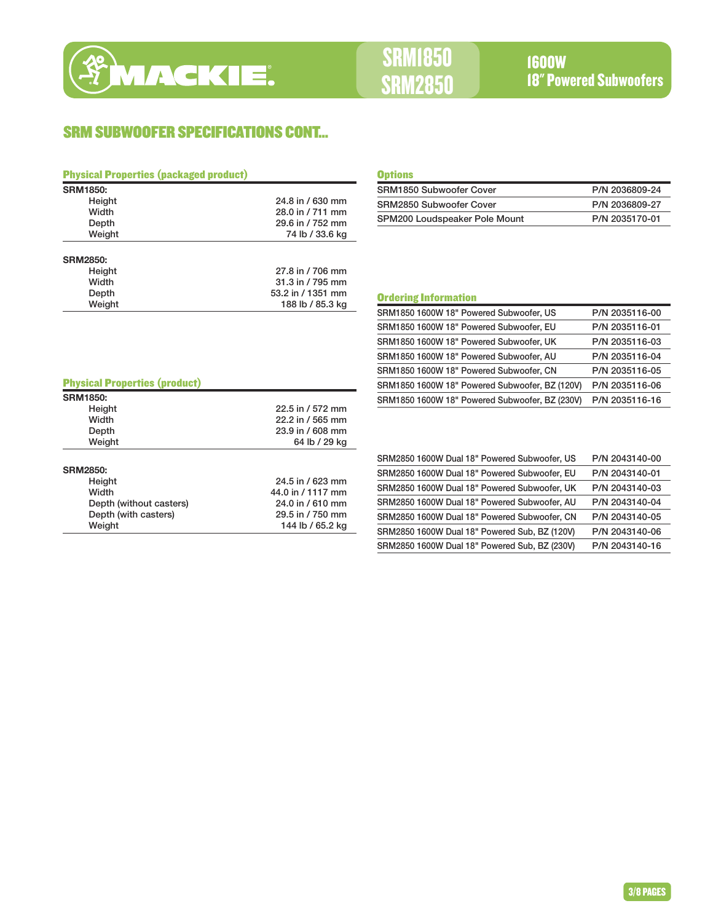

# SRM SUBWOOFER SPECIFICATIONS CONT...

| <b>Physical Properties (packaged product)</b> |                   | <b>Options</b>                                 |                |
|-----------------------------------------------|-------------------|------------------------------------------------|----------------|
| <b>SRM1850:</b>                               |                   | SRM1850 Subwoofer Cover                        | P/N 2036809-24 |
| Height                                        | 24.8 in / 630 mm  | SRM2850 Subwoofer Cover                        | P/N 2036809-27 |
| Width                                         | 28.0 in / 711 mm  | SPM200 Loudspeaker Pole Mount                  | P/N 2035170-01 |
| Depth                                         | 29.6 in / 752 mm  |                                                |                |
| Weight                                        | 74 lb / 33.6 kg   |                                                |                |
| <b>SRM2850:</b>                               |                   |                                                |                |
| Height                                        | 27.8 in / 706 mm  |                                                |                |
| Width                                         | 31.3 in / 795 mm  |                                                |                |
| Depth                                         | 53.2 in / 1351 mm | <b>Ordering Information</b>                    |                |
| Weight                                        | 188 lb / 85.3 kg  | SRM1850 1600W 18" Powered Subwoofer, US        | P/N 2035116-00 |
|                                               |                   | SRM1850 1600W 18" Powered Subwoofer, EU        | P/N 2035116-01 |
|                                               |                   | SRM1850 1600W 18" Powered Subwoofer, UK        | P/N 2035116-03 |
|                                               |                   | SRM1850 1600W 18" Powered Subwoofer, AU        | P/N 2035116-04 |
|                                               |                   | SRM1850 1600W 18" Powered Subwoofer, CN        | P/N 2035116-05 |
| <b>Physical Properties (product)</b>          |                   | SRM1850 1600W 18" Powered Subwoofer, BZ (120V) | P/N 2035116-06 |
| <b>SRM1850:</b>                               |                   | SRM1850 1600W 18" Powered Subwoofer, BZ (230V) | P/N 2035116-16 |
| Height                                        | 22.5 in / 572 mm  |                                                |                |
| Width                                         | 22.2 in / 565 mm  |                                                |                |

| Depth                   | 23.9 in / 608 mm  |
|-------------------------|-------------------|
| Weight                  | 64 lb / 29 kg     |
|                         |                   |
| <b>SRM2850:</b>         |                   |
| Height                  | 24.5 in / 623 mm  |
| Width                   | 44.0 in / 1117 mm |
| Depth (without casters) | 24.0 in / 610 mm  |
| Depth (with casters)    | 29.5 in / 750 mm  |
| Weight                  | 144 lb / 65.2 kg  |

| SRM1850 Subwoofer Cover       | P/N 2036809-24 |
|-------------------------------|----------------|
| SRM2850 Subwoofer Cover       | P/N 2036809-27 |
| SPM200 Loudspeaker Pole Mount | P/N 2035170-01 |

| SRM1850 1600W 18" Powered Subwoofer, EU        | P/N 2035116-01 |
|------------------------------------------------|----------------|
| SRM1850 1600W 18" Powered Subwoofer, UK        | P/N 2035116-03 |
| SRM1850 1600W 18" Powered Subwoofer, AU        | P/N 2035116-04 |
| SRM1850 1600W 18" Powered Subwoofer, CN        | P/N 2035116-05 |
| SRM1850 1600W 18" Powered Subwoofer, BZ (120V) | P/N 2035116-06 |
| SRM1850 1600W 18" Powered Subwoofer, BZ (230V) | P/N 2035116-16 |
|                                                |                |
|                                                |                |
|                                                |                |
| SRM2850 1600W Dual 18" Powered Subwoofer, US   | P/N 2043140-00 |

| SRM2850 1600W Dual 18" Powered Subwoofer, US  | P/N 2043140-00 |
|-----------------------------------------------|----------------|
| SRM2850 1600W Dual 18" Powered Subwoofer, EU  | P/N 2043140-01 |
| SRM2850 1600W Dual 18" Powered Subwoofer, UK  | P/N 2043140-03 |
| SRM2850 1600W Dual 18" Powered Subwoofer, AU  | P/N 2043140-04 |
| SRM2850 1600W Dual 18" Powered Subwoofer, CN  | P/N 2043140-05 |
| SRM2850 1600W Dual 18" Powered Sub, BZ (120V) | P/N 2043140-06 |
| SRM2850 1600W Dual 18" Powered Sub, BZ (230V) | P/N 2043140-16 |

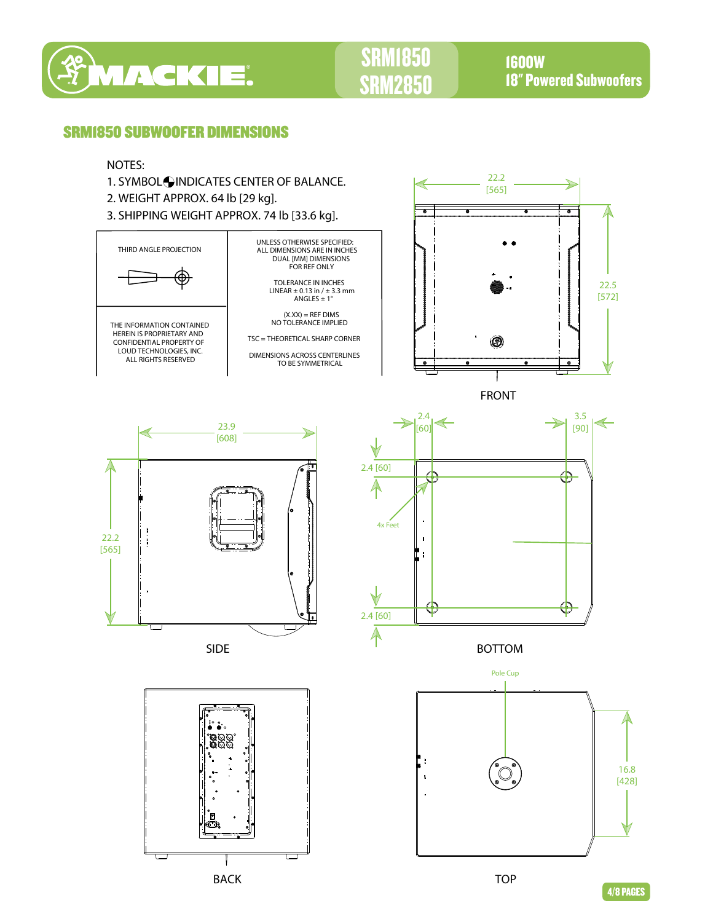

# SRM1850 SRM2850

1600W 18" Powered Subwoofers

### SRM1850 SUBWOOFER DIMENSIONS

### NOTES:

- 1. SYMBOL INDICATES CENTER OF BALANCE.
- 2. WEIGHT APPROX. 64 lb [29 kg].
- 3. SHIPPING WEIGHT APPROX. 74 lb [33.6 kg].





FRONT



BACK



BOTTOM



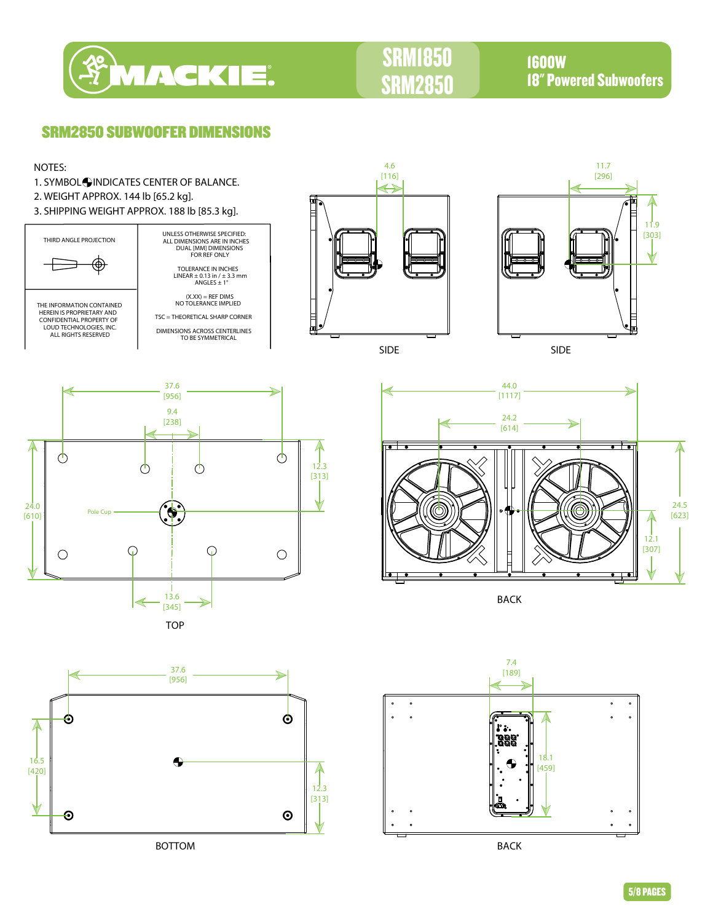

# SRM1850 SRM2850

1600W 18" Powered Subwoofers

### SRM2850 SUBWOOFER DIMENSIONS



BOTTOM BACK

12.3 [313]

 $\odot$ 

 $\boldsymbol{\Theta}$ 

 $\ddot{\phantom{0}}$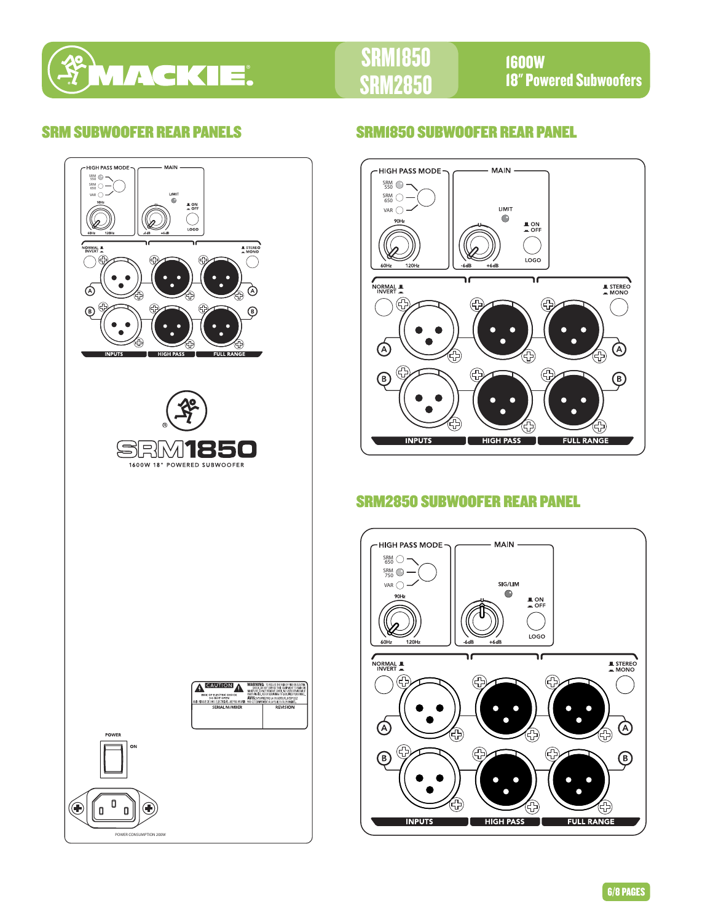

# SRM1850 285

1600W 18" Powered Subwoofers



## SRM SUBWOOFER REAR PANELS SRM1850 SUBWOOFER REAR PANEL



# SRM2850 SUBWOOFER REAR PANEL

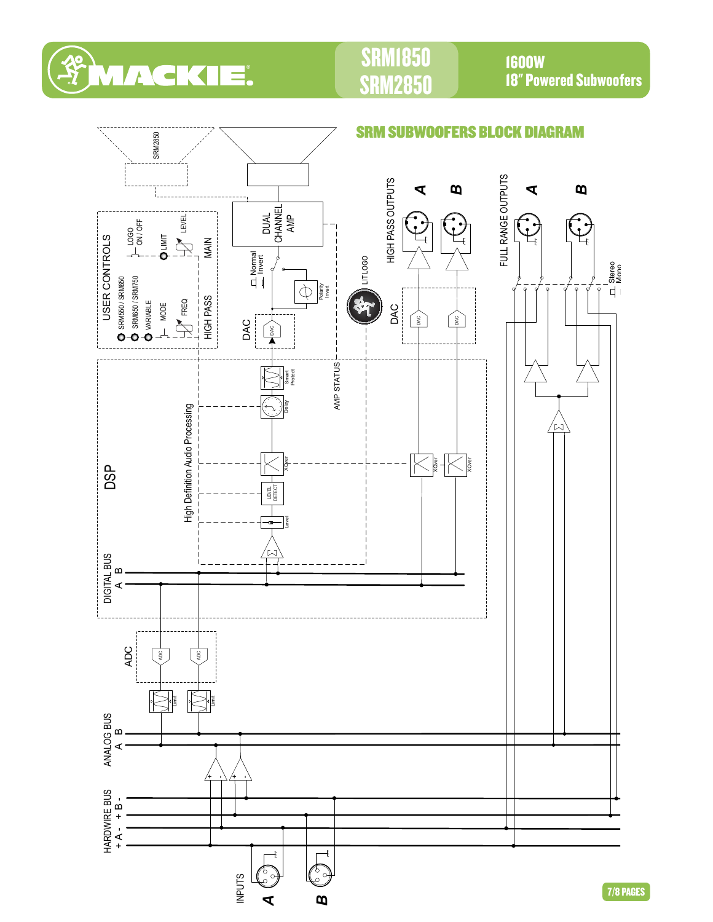

# SRM1850 2850

1600W 18" Powered Subwoofers